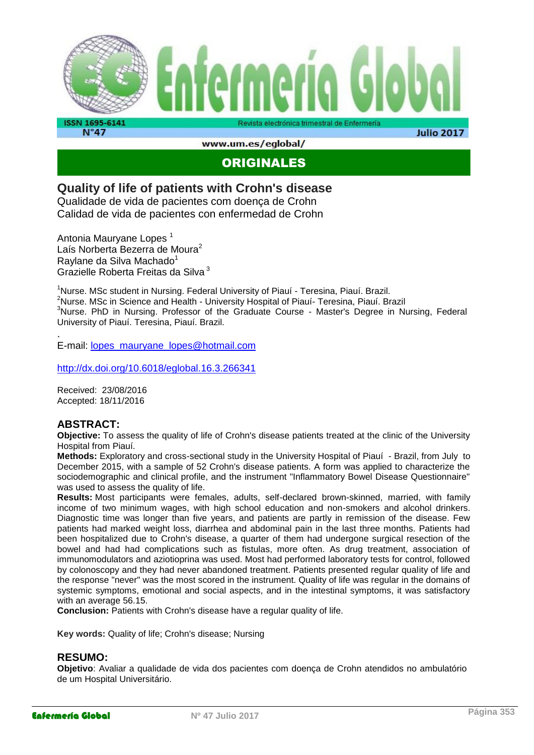

 $N°47$ 

**Julio 2017** 

www.um.es/eglobal/

# ORIGINALES

## **Quality of life of patients with Crohn's disease**

Qualidade de vida de pacientes com doença de Crohn Calidad de vida de pacientes con enfermedad de Crohn

Antonia Maurvane Lopes<sup>1</sup> Laís Norberta Bezerra de Moura<sup>2</sup> Raylane da Silva Machado<sup>1</sup> Grazielle Roberta Freitas da Silva <sup>3</sup>

<sup>1</sup>Nurse. MSc student in Nursing. Federal University of Piauí - Teresina, Piauí. Brazil. <sup>2</sup>Nurse. MSc in Science and Health - University Hospital of Piauí- Teresina, Piauí. Brazil <sup>3</sup>Nurse. PhD in Nursing. Professor of the Graduate Course - Master's Degree in Nursing, Federal University of Piauí. Teresina, Piauí. Brazil. .

E-mail: [lopes\\_mauryane\\_lopes@hotmail.com](mailto:lopes_mauryane_lopes@hotmail.com)

<http://dx.doi.org/10.6018/eglobal.16.3.266341>

Received: 23/08/2016 Accepted: 18/11/2016

## **ABSTRACT:**

**Objective:** To assess the quality of life of Crohn's disease patients treated at the clinic of the University Hospital from Piauí.

**Methods:** Exploratory and cross-sectional study in the University Hospital of Piauí - Brazil, from July to December 2015, with a sample of 52 Crohn's disease patients. A form was applied to characterize the sociodemographic and clinical profile, and the instrument "Inflammatory Bowel Disease Questionnaire" was used to assess the quality of life.

**Results:** Most participants were females, adults, self-declared brown-skinned, married, with family income of two minimum wages, with high school education and non-smokers and alcohol drinkers. Diagnostic time was longer than five years, and patients are partly in remission of the disease. Few patients had marked weight loss, diarrhea and abdominal pain in the last three months. Patients had been hospitalized due to Crohn's disease, a quarter of them had undergone surgical resection of the bowel and had had complications such as fistulas, more often. As drug treatment, association of immunomodulators and aziotioprina was used. Most had performed laboratory tests for control, followed by colonoscopy and they had never abandoned treatment. Patients presented regular quality of life and the response "never" was the most scored in the instrument. Quality of life was regular in the domains of systemic symptoms, emotional and social aspects, and in the intestinal symptoms, it was satisfactory with an average 56.15.

**Conclusion:** Patients with Crohn's disease have a regular quality of life.

**Key words:** Quality of life; Crohn's disease; Nursing

#### **RESUMO:**

**Objetivo**: Avaliar a qualidade de vida dos pacientes com doença de Crohn atendidos no ambulatório de um Hospital Universitário.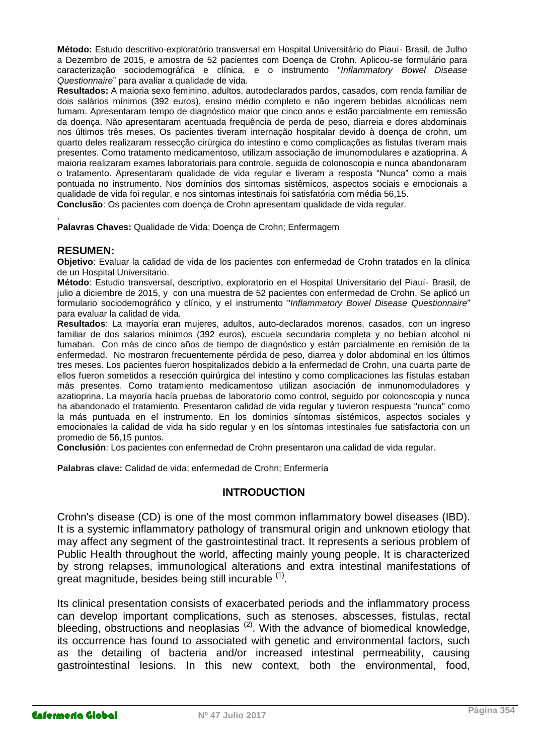**Método:** Estudo descritivo-exploratório transversal em Hospital Universitário do Piauí- Brasil, de Julho a Dezembro de 2015, e amostra de 52 pacientes com Doença de Crohn. Aplicou-se formulário para caracterização sociodemográfica e clínica, e o instrumento "*Inflammatory Bowel Disease Questionnaire*" para avaliar a qualidade de vida.

**Resultados:** A maioria sexo feminino, adultos, autodeclarados pardos, casados, com renda familiar de dois salários mínimos (392 euros), ensino médio completo e não ingerem bebidas alcoólicas nem fumam. Apresentaram tempo de diagnóstico maior que cinco anos e estão parcialmente em remissão da doença. Não apresentaram acentuada frequência de perda de peso, diarreia e dores abdominais nos últimos três meses. Os pacientes tiveram internação hospitalar devido à doença de crohn, um quarto deles realizaram ressecção cirúrgica do intestino e como complicações as fistulas tiveram mais presentes. Como tratamento medicamentoso, utilizam associação de imunomodulares e azatioprina. A maioria realizaram exames laboratoriais para controle, seguida de colonoscopia e nunca abandonaram o tratamento. Apresentaram qualidade de vida regular e tiveram a resposta "Nunca" como a mais pontuada no instrumento. Nos domínios dos sintomas sistêmicos, aspectos sociais e emocionais a qualidade de vida foi regular, e nos sintomas intestinais foi satisfatória com média 56,15.

**Conclusão**: Os pacientes com doença de Crohn apresentam qualidade de vida regular. .

**Palavras Chaves:** Qualidade de Vida; Doença de Crohn; Enfermagem

#### **RESUMEN:**

**Objetivo**: Evaluar la calidad de vida de los pacientes con enfermedad de Crohn tratados en la clínica de un Hospital Universitario.

**Método**: Estudio transversal, descriptivo, exploratorio en el Hospital Universitario del Piauí- Brasil, de julio a diciembre de 2015, y con una muestra de 52 pacientes con enfermedad de Crohn. Se aplicó un formulario sociodemográfico y clínico, y el instrumento "*Inflammatory Bowel Disease Questionnaire*" para evaluar la calidad de vida.

**Resultados**: La mayoría eran mujeres, adultos, auto-declarados morenos, casados, con un ingreso familiar de dos salarios mínimos (392 euros), escuela secundaria completa y no bebían alcohol ni fumaban. Con más de cinco años de tiempo de diagnóstico y están parcialmente en remisión de la enfermedad. No mostraron frecuentemente pérdida de peso, diarrea y dolor abdominal en los últimos tres meses. Los pacientes fueron hospitalizados debido a la enfermedad de Crohn, una cuarta parte de ellos fueron sometidos a resección quirúrgica del intestino y como complicaciones las fístulas estaban más presentes. Como tratamiento medicamentoso utilizan asociación de inmunomoduladores y azatioprina. La mayoría hacía pruebas de laboratorio como control, seguido por colonoscopia y nunca ha abandonado el tratamiento. Presentaron calidad de vida regular y tuvieron respuesta "nunca" como la más puntuada en el instrumento. En los dominios síntomas sistémicos, aspectos sociales y emocionales la calidad de vida ha sido regular y en los síntomas intestinales fue satisfactoria con un promedio de 56,15 puntos.

**Conclusión**: Los pacientes con enfermedad de Crohn presentaron una calidad de vida regular.

**Palabras clave:** Calidad de vida; enfermedad de Crohn; Enfermería

### **INTRODUCTION**

Crohn's disease (CD) is one of the most common inflammatory bowel diseases (IBD). It is a systemic inflammatory pathology of transmural origin and unknown etiology that may affect any segment of the gastrointestinal tract. It represents a serious problem of Public Health throughout the world, affecting mainly young people. It is characterized by strong relapses, immunological alterations and extra intestinal manifestations of great magnitude, besides being still incurable (1).

Its clinical presentation consists of exacerbated periods and the inflammatory process can develop important complications, such as stenoses, abscesses, fistulas, rectal bleeding, obstructions and neoplasias  $(2)$ . With the advance of biomedical knowledge, its occurrence has found to associated with genetic and environmental factors, such as the detailing of bacteria and/or increased intestinal permeability, causing gastrointestinal lesions. In this new context, both the environmental, food,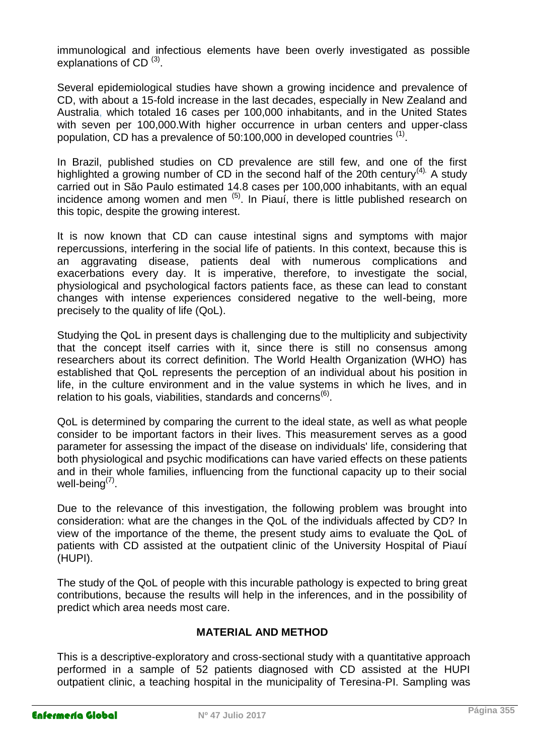immunological and infectious elements have been overly investigated as possible explanations of CD<sup>(3)</sup>.

Several epidemiological studies have shown a growing incidence and prevalence of CD, with about a 15-fold increase in the last decades, especially in New Zealand and Australia, which totaled 16 cases per 100,000 inhabitants, and in the United States with seven per 100,000. With higher occurrence in urban centers and upper-class population, CD has a prevalence of 50:100,000 in developed countries <sup>(1)</sup>.

In Brazil, published studies on CD prevalence are still few, and one of the first highlighted a growing number of CD in the second half of the 20th century<sup>(4)</sup> A study carried out in São Paulo estimated 14.8 cases per 100,000 inhabitants, with an equal incidence among women and men  $(5)$ . In Piaui, there is little published research on this topic, despite the growing interest.

It is now known that CD can cause intestinal signs and symptoms with major repercussions, interfering in the social life of patients. In this context, because this is an aggravating disease, patients deal with numerous complications and exacerbations every day. It is imperative, therefore, to investigate the social, physiological and psychological factors patients face, as these can lead to constant changes with intense experiences considered negative to the well-being, more precisely to the quality of life (QoL).

Studying the QoL in present days is challenging due to the multiplicity and subjectivity that the concept itself carries with it, since there is still no consensus among researchers about its correct definition. The World Health Organization (WHO) has established that QoL represents the perception of an individual about his position in life, in the culture environment and in the value systems in which he lives, and in relation to his goals, viabilities, standards and concerns<sup>(6)</sup>.

QoL is determined by comparing the current to the ideal state, as well as what people consider to be important factors in their lives. This measurement serves as a good parameter for assessing the impact of the disease on individuals' life, considering that both physiological and psychic modifications can have varied effects on these patients and in their whole families, influencing from the functional capacity up to their social well-being<sup>(7)</sup>.

Due to the relevance of this investigation, the following problem was brought into consideration: what are the changes in the QoL of the individuals affected by CD? In view of the importance of the theme, the present study aims to evaluate the QoL of patients with CD assisted at the outpatient clinic of the University Hospital of Piauí (HUPI).

The study of the QoL of people with this incurable pathology is expected to bring great contributions, because the results will help in the inferences, and in the possibility of predict which area needs most care.

## **MATERIAL AND METHOD**

This is a descriptive-exploratory and cross-sectional study with a quantitative approach performed in a sample of 52 patients diagnosed with CD assisted at the HUPI outpatient clinic, a teaching hospital in the municipality of Teresina-PI. Sampling was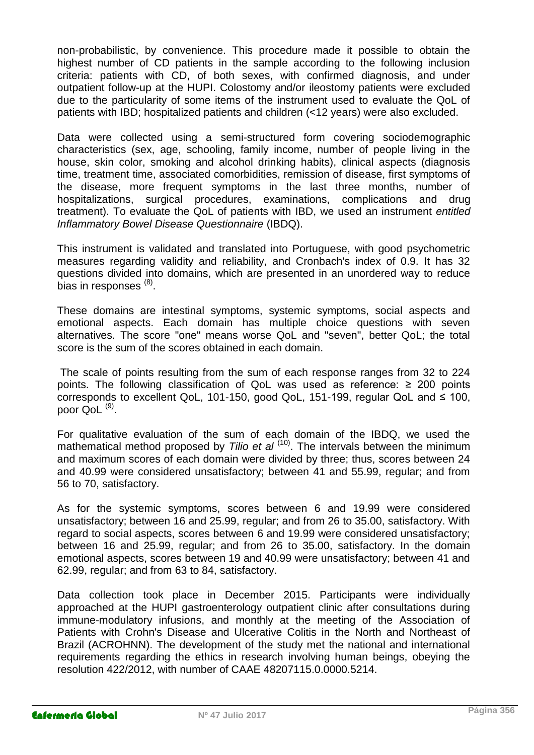non-probabilistic, by convenience. This procedure made it possible to obtain the highest number of CD patients in the sample according to the following inclusion criteria: patients with CD, of both sexes, with confirmed diagnosis, and under outpatient follow-up at the HUPI. Colostomy and/or ileostomy patients were excluded due to the particularity of some items of the instrument used to evaluate the QoL of patients with IBD; hospitalized patients and children (<12 years) were also excluded.

Data were collected using a semi-structured form covering sociodemographic characteristics (sex, age, schooling, family income, number of people living in the house, skin color, smoking and alcohol drinking habits), clinical aspects (diagnosis time, treatment time, associated comorbidities, remission of disease, first symptoms of the disease, more frequent symptoms in the last three months, number of hospitalizations, surgical procedures, examinations, complications and drug treatment). To evaluate the QoL of patients with IBD, we used an instrument *entitled Inflammatory Bowel Disease Questionnaire* (IBDQ).

This instrument is validated and translated into Portuguese, with good psychometric measures regarding validity and reliability, and Cronbach's index of 0.9. It has 32 questions divided into domains, which are presented in an unordered way to reduce bias in responses (8).

These domains are intestinal symptoms, systemic symptoms, social aspects and emotional aspects. Each domain has multiple choice questions with seven alternatives. The score "one" means worse QoL and "seven", better QoL; the total score is the sum of the scores obtained in each domain.

The scale of points resulting from the sum of each response ranges from 32 to 224 points. The following classification of QoL was used as reference: ≥ 200 points corresponds to excellent QoL, 101-150, good QoL, 151-199, regular QoL and  $\leq 100$ , poor QoL <sup>(9)</sup>.

For qualitative evaluation of the sum of each domain of the IBDQ, we used the mathematical method proposed by *Tilio et al* <sup>(10)</sup>. The intervals between the minimum and maximum scores of each domain were divided by three; thus, scores between 24 and 40.99 were considered unsatisfactory; between 41 and 55.99, regular; and from 56 to 70, satisfactory.

As for the systemic symptoms, scores between 6 and 19.99 were considered unsatisfactory; between 16 and 25.99, regular; and from 26 to 35.00, satisfactory. With regard to social aspects, scores between 6 and 19.99 were considered unsatisfactory; between 16 and 25.99, regular; and from 26 to 35.00, satisfactory. In the domain emotional aspects, scores between 19 and 40.99 were unsatisfactory; between 41 and 62.99, regular; and from 63 to 84, satisfactory.

Data collection took place in December 2015. Participants were individually approached at the HUPI gastroenterology outpatient clinic after consultations during immune-modulatory infusions, and monthly at the meeting of the Association of Patients with Crohn's Disease and Ulcerative Colitis in the North and Northeast of Brazil (ACROHNN). The development of the study met the national and international requirements regarding the ethics in research involving human beings, obeying the resolution 422/2012, with number of CAAE 48207115.0.0000.5214.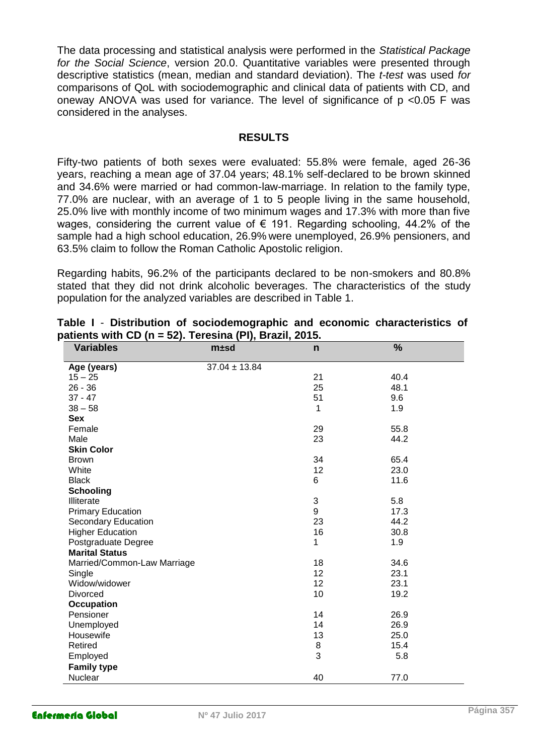The data processing and statistical analysis were performed in the *Statistical Package for the Social Science*, version 20.0. Quantitative variables were presented through descriptive statistics (mean, median and standard deviation). The *t-test* was used *for* comparisons of QoL with sociodemographic and clinical data of patients with CD, and oneway ANOVA was used for variance. The level of significance of p <0.05 F was considered in the analyses.

#### **RESULTS**

Fifty-two patients of both sexes were evaluated: 55.8% were female, aged 26-36 years, reaching a mean age of 37.04 years; 48.1% self-declared to be brown skinned and 34.6% were married or had common-law-marriage. In relation to the family type, 77.0% are nuclear, with an average of 1 to 5 people living in the same household, 25.0% live with monthly income of two minimum wages and 17.3% with more than five wages, considering the current value of € 191. Regarding schooling, 44.2% of the sample had a high school education, 26.9% were unemployed, 26.9% pensioners, and 63.5% claim to follow the Roman Catholic Apostolic religion.

Regarding habits, 96.2% of the participants declared to be non-smokers and 80.8% stated that they did not drink alcoholic beverages. The characteristics of the study population for the analyzed variables are described in Table 1.

| <b>Variables</b>            | $m \pm sd$                 | $\mathsf{n}$ | %    |  |
|-----------------------------|----------------------------|--------------|------|--|
| Age (years)                 | $\overline{37.04}$ ± 13.84 |              |      |  |
| $15 - 25$                   |                            | 21           | 40.4 |  |
| $26 - 36$                   |                            | 25           | 48.1 |  |
| $37 - 47$                   |                            | 51           | 9.6  |  |
| $38 - 58$                   |                            | 1            | 1.9  |  |
| <b>Sex</b>                  |                            |              |      |  |
| Female                      |                            | 29           | 55.8 |  |
| Male                        |                            | 23           | 44.2 |  |
| <b>Skin Color</b>           |                            |              |      |  |
| <b>Brown</b>                |                            | 34           | 65.4 |  |
| White                       |                            | 12           | 23.0 |  |
| <b>Black</b>                |                            | 6            | 11.6 |  |
| <b>Schooling</b>            |                            |              |      |  |
| Illiterate                  |                            | 3            | 5.8  |  |
| <b>Primary Education</b>    |                            | 9            | 17.3 |  |
| Secondary Education         |                            | 23           | 44.2 |  |
| <b>Higher Education</b>     |                            | 16           | 30.8 |  |
| Postgraduate Degree         |                            | $\mathbf{1}$ | 1.9  |  |
| <b>Marital Status</b>       |                            |              |      |  |
| Married/Common-Law Marriage |                            | 18           | 34.6 |  |
| Single                      |                            | 12           | 23.1 |  |
| Widow/widower               |                            | 12           | 23.1 |  |
| <b>Divorced</b>             |                            | 10           | 19.2 |  |
| <b>Occupation</b>           |                            |              |      |  |
| Pensioner                   |                            | 14           | 26.9 |  |
| Unemployed                  |                            | 14           | 26.9 |  |
| Housewife                   |                            | 13           | 25.0 |  |
| Retired                     |                            | 8            | 15.4 |  |
| Employed                    |                            | 3            | 5.8  |  |
| <b>Family type</b>          |                            |              |      |  |
| Nuclear                     |                            | 40           | 77.0 |  |

|  |                                                         |  | Table I - Distribution of sociodemographic and economic characteristics of |  |
|--|---------------------------------------------------------|--|----------------------------------------------------------------------------|--|
|  | patients with CD (n = 52). Teresina (PI), Brazil, 2015. |  |                                                                            |  |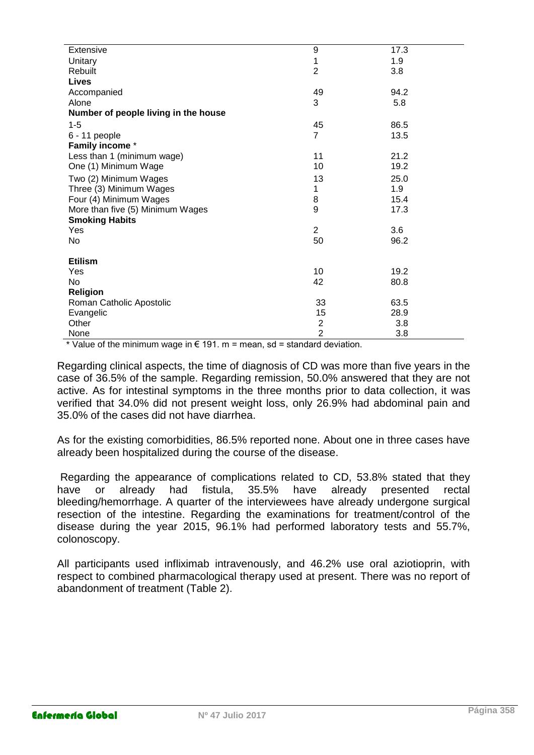| Extensive                            | 9                | 17.3 |
|--------------------------------------|------------------|------|
| Unitary                              | 1                | 1.9  |
| Rebuilt                              | $\overline{2}$   | 3.8  |
| Lives                                |                  |      |
| Accompanied                          | 49               | 94.2 |
| Alone                                | 3                | 5.8  |
| Number of people living in the house |                  |      |
| $1 - 5$                              | 45               | 86.5 |
| 6 - 11 people                        | $\overline{7}$   | 13.5 |
| Family income *                      |                  |      |
| Less than 1 (minimum wage)           | 11               | 21.2 |
| One (1) Minimum Wage                 | 10               | 19.2 |
| Two (2) Minimum Wages                | 13               | 25.0 |
| Three (3) Minimum Wages              | 1                | 1.9  |
| Four (4) Minimum Wages               | 8                | 15.4 |
| More than five (5) Minimum Wages     | $\boldsymbol{9}$ | 17.3 |
| <b>Smoking Habits</b>                |                  |      |
| Yes                                  | $\overline{2}$   | 3.6  |
| No                                   | 50               | 96.2 |
| <b>Etilism</b>                       |                  |      |
| Yes                                  | 10               | 19.2 |
| No.                                  | 42               | 80.8 |
| <b>Religion</b>                      |                  |      |
| Roman Catholic Apostolic             | 33               | 63.5 |
| Evangelic                            | 15               | 28.9 |
| Other                                | $\overline{2}$   | 3.8  |
| None                                 | $\overline{2}$   | 3.8  |

\* Value of the minimum wage in  $\epsilon$  191. m = mean, sd = standard deviation.

Regarding clinical aspects, the time of diagnosis of CD was more than five years in the case of 36.5% of the sample. Regarding remission, 50.0% answered that they are not active. As for intestinal symptoms in the three months prior to data collection, it was verified that 34.0% did not present weight loss, only 26.9% had abdominal pain and 35.0% of the cases did not have diarrhea.

As for the existing comorbidities, 86.5% reported none. About one in three cases have already been hospitalized during the course of the disease.

Regarding the appearance of complications related to CD, 53.8% stated that they have or already had fistula, 35.5% have already presented rectal bleeding/hemorrhage. A quarter of the interviewees have already undergone surgical resection of the intestine. Regarding the examinations for treatment/control of the disease during the year 2015, 96.1% had performed laboratory tests and 55.7%, colonoscopy.

All participants used infliximab intravenously, and 46.2% use oral aziotioprin, with respect to combined pharmacological therapy used at present. There was no report of abandonment of treatment (Table 2).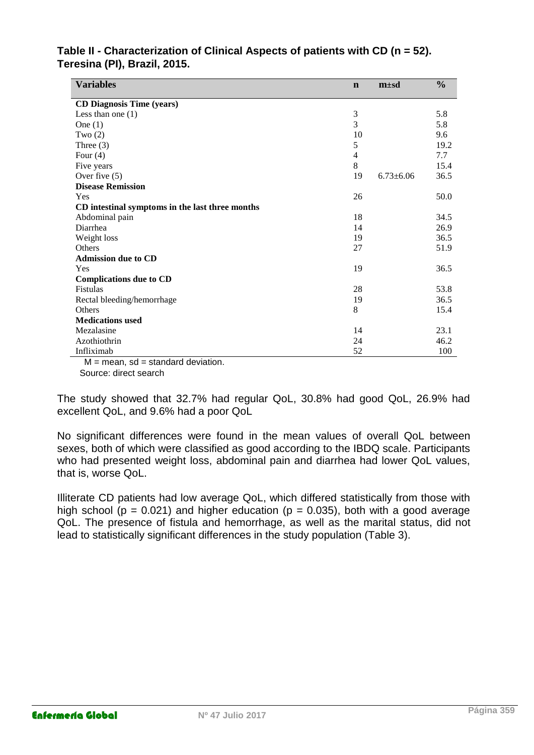## **Table II - Characterization of Clinical Aspects of patients with CD (n = 52). Teresina (PI), Brazil, 2015.**

| <b>Variables</b>                                | $\mathbf n$    | $m \pm sd$      | $\frac{0}{0}$ |
|-------------------------------------------------|----------------|-----------------|---------------|
|                                                 |                |                 |               |
| <b>CD Diagnosis Time (years)</b>                |                |                 |               |
| Less than one $(1)$                             | $\mathfrak{Z}$ |                 | 5.8           |
| One $(1)$                                       | 3              |                 | 5.8           |
| Two $(2)$                                       | 10             |                 | 9.6           |
| Three $(3)$                                     | 5              |                 | 19.2          |
| Four $(4)$                                      | $\overline{4}$ |                 | 7.7           |
| Five years                                      | 8              |                 | 15.4          |
| Over five $(5)$                                 | 19             | $6.73 \pm 6.06$ | 36.5          |
| <b>Disease Remission</b>                        |                |                 |               |
| Yes                                             | 26             |                 | 50.0          |
| CD intestinal symptoms in the last three months |                |                 |               |
| Abdominal pain                                  | 18             |                 | 34.5          |
| Diarrhea                                        | 14             |                 | 26.9          |
| Weight loss                                     | 19             |                 | 36.5          |
| Others                                          | 27             |                 | 51.9          |
| <b>Admission due to CD</b>                      |                |                 |               |
| Yes                                             | 19             |                 | 36.5          |
| <b>Complications due to CD</b>                  |                |                 |               |
| <b>Fistulas</b>                                 | 28             |                 | 53.8          |
| Rectal bleeding/hemorrhage                      | 19             |                 | 36.5          |
| <b>Others</b>                                   | 8              |                 | 15.4          |
| <b>Medications</b> used                         |                |                 |               |
| Mezalasine                                      | 14             |                 | 23.1          |
| Azothiothrin                                    | 24             |                 | 46.2          |
| Infliximab                                      | 52             |                 | 100           |

 $M =$  mean,  $sd =$  standard deviation. Source: direct search

The study showed that 32.7% had regular QoL, 30.8% had good QoL, 26.9% had excellent QoL, and 9.6% had a poor QoL

No significant differences were found in the mean values of overall QoL between sexes, both of which were classified as good according to the IBDQ scale. Participants who had presented weight loss, abdominal pain and diarrhea had lower QoL values, that is, worse QoL.

Illiterate CD patients had low average QoL, which differed statistically from those with high school ( $p = 0.021$ ) and higher education ( $p = 0.035$ ), both with a good average QoL. The presence of fistula and hemorrhage, as well as the marital status, did not lead to statistically significant differences in the study population (Table 3).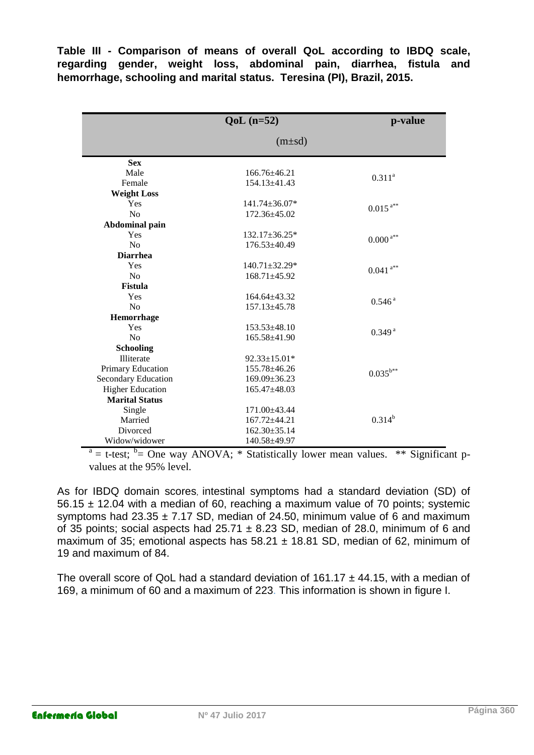**Table III - Comparison of means of overall QoL according to IBDQ scale, regarding gender, weight loss, abdominal pain, diarrhea, fistula and hemorrhage, schooling and marital status. Teresina (PI), Brazil, 2015.**

|                         | $QoL$ (n=52)        | p-value                     |  |
|-------------------------|---------------------|-----------------------------|--|
|                         | $(m\pm sd)$         |                             |  |
| <b>Sex</b>              |                     |                             |  |
| Male                    | 166.76±46.21        | $0.311^{a}$                 |  |
| Female                  | 154.13±41.43        |                             |  |
| <b>Weight Loss</b>      |                     |                             |  |
| <b>Yes</b>              | $141.74 \pm 36.07*$ | $0.015$ $^{\mathrm{a}**}$   |  |
| No                      | 172.36±45.02        |                             |  |
| Abdominal pain          |                     |                             |  |
| <b>Yes</b>              | 132.17±36.25*       | $0.000^{\,\mathrm{a}^{**}}$ |  |
| N <sub>o</sub>          | 176.53±40.49        |                             |  |
| <b>Diarrhea</b>         |                     |                             |  |
| Yes                     | 140.71±32.29*       | $0.041$ $^{\mathrm{a}**}$   |  |
| No                      | 168.71±45.92        |                             |  |
| <b>Fistula</b>          |                     |                             |  |
| Yes                     | 164.64±43.32        | $0.546$ <sup>a</sup>        |  |
| No                      | 157.13±45.78        |                             |  |
| Hemorrhage              |                     |                             |  |
| Yes                     | 153.53±48.10        |                             |  |
| N <sub>o</sub>          | 165.58±41.90        | 0.349 <sup>a</sup>          |  |
| <b>Schooling</b>        |                     |                             |  |
| Illiterate              | 92.33±15.01*        |                             |  |
| Primary Education       | 155.78±46.26        |                             |  |
| Secondary Education     | 169.09±36.23        | $0.035^{b**}$               |  |
| <b>Higher Education</b> | 165.47±48.03        |                             |  |
| <b>Marital Status</b>   |                     |                             |  |
| Single                  | 171.00±43.44        |                             |  |
| Married                 | 167.72±44.21        | $0.314^{b}$                 |  |
| Divorced                | 162.30±35.14        |                             |  |
| Widow/widower           | 140.58±49.97        |                             |  |

 $a^a$  = t-test;  $b^b$  = One way ANOVA; \* Statistically lower mean values. \*\* Significant pvalues at the 95% level.

As for IBDQ domain scores, intestinal symptoms had a standard deviation (SD) of  $56.15 \pm 12.04$  with a median of 60, reaching a maximum value of 70 points; systemic symptoms had  $23.35 \pm 7.17$  SD, median of 24.50, minimum value of 6 and maximum of 35 points; social aspects had  $25.71 \pm 8.23$  SD, median of 28.0, minimum of 6 and maximum of 35; emotional aspects has  $58.21 \pm 18.81$  SD, median of 62, minimum of 19 and maximum of 84.

The overall score of QoL had a standard deviation of  $161.17 \pm 44.15$ , with a median of 169, a minimum of 60 and a maximum of 223. This information is shown in figure I.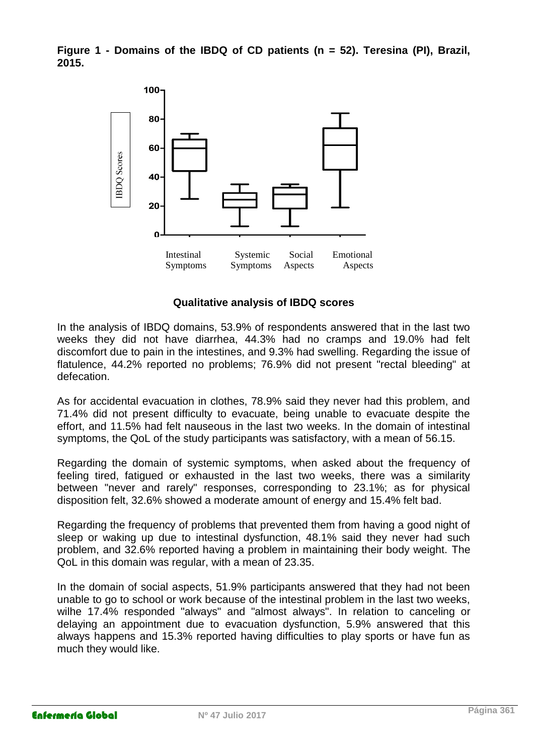**Figure 1 - Domains of the IBDQ of CD patients (n = 52). Teresina (PI), Brazil, 2015.**



## **Qualitative analysis of IBDQ scores**

In the analysis of IBDQ domains, 53.9% of respondents answered that in the last two weeks they did not have diarrhea, 44.3% had no cramps and 19.0% had felt discomfort due to pain in the intestines, and 9.3% had swelling. Regarding the issue of flatulence, 44.2% reported no problems; 76.9% did not present "rectal bleeding" at defecation.

As for accidental evacuation in clothes, 78.9% said they never had this problem, and 71.4% did not present difficulty to evacuate, being unable to evacuate despite the effort, and 11.5% had felt nauseous in the last two weeks. In the domain of intestinal symptoms, the QoL of the study participants was satisfactory, with a mean of 56.15.

Regarding the domain of systemic symptoms, when asked about the frequency of feeling tired, fatigued or exhausted in the last two weeks, there was a similarity between "never and rarely" responses, corresponding to 23.1%; as for physical disposition felt, 32.6% showed a moderate amount of energy and 15.4% felt bad.

Regarding the frequency of problems that prevented them from having a good night of sleep or waking up due to intestinal dysfunction, 48.1% said they never had such problem, and 32.6% reported having a problem in maintaining their body weight. The QoL in this domain was regular, with a mean of 23.35.

In the domain of social aspects, 51.9% participants answered that they had not been unable to go to school or work because of the intestinal problem in the last two weeks, wilhe 17.4% responded "always" and "almost always". In relation to canceling or delaying an appointment due to evacuation dysfunction, 5.9% answered that this always happens and 15.3% reported having difficulties to play sports or have fun as much they would like.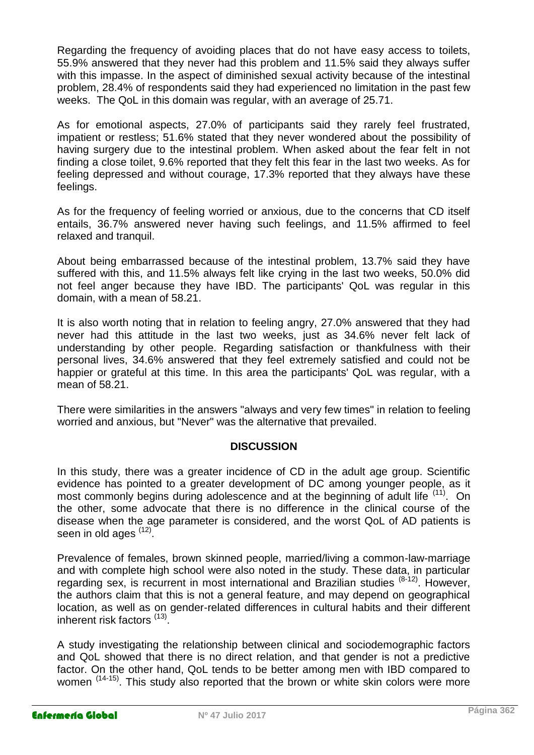Regarding the frequency of avoiding places that do not have easy access to toilets, 55.9% answered that they never had this problem and 11.5% said they always suffer with this impasse. In the aspect of diminished sexual activity because of the intestinal problem, 28.4% of respondents said they had experienced no limitation in the past few weeks. The QoL in this domain was regular, with an average of 25.71.

As for emotional aspects, 27.0% of participants said they rarely feel frustrated, impatient or restless; 51.6% stated that they never wondered about the possibility of having surgery due to the intestinal problem. When asked about the fear felt in not finding a close toilet, 9.6% reported that they felt this fear in the last two weeks. As for feeling depressed and without courage, 17.3% reported that they always have these feelings.

As for the frequency of feeling worried or anxious, due to the concerns that CD itself entails, 36.7% answered never having such feelings, and 11.5% affirmed to feel relaxed and tranquil.

About being embarrassed because of the intestinal problem, 13.7% said they have suffered with this, and 11.5% always felt like crying in the last two weeks, 50.0% did not feel anger because they have IBD. The participants' QoL was regular in this domain, with a mean of 58.21.

It is also worth noting that in relation to feeling angry, 27.0% answered that they had never had this attitude in the last two weeks, just as 34.6% never felt lack of understanding by other people. Regarding satisfaction or thankfulness with their personal lives, 34.6% answered that they feel extremely satisfied and could not be happier or grateful at this time. In this area the participants' QoL was regular, with a mean of 58.21.

There were similarities in the answers "always and very few times" in relation to feeling worried and anxious, but "Never" was the alternative that prevailed.

## **DISCUSSION**

In this study, there was a greater incidence of CD in the adult age group. Scientific evidence has pointed to a greater development of DC among younger people, as it most commonly begins during adolescence and at the beginning of adult life <sup>(11)</sup>. On the other, some advocate that there is no difference in the clinical course of the disease when the age parameter is considered, and the worst QoL of AD patients is seen in old ages <sup>(12)</sup>.

Prevalence of females, brown skinned people, married/living a common-law-marriage and with complete high school were also noted in the study. These data, in particular regarding sex, is recurrent in most international and Brazilian studies  $(8-12)$ . However, the authors claim that this is not a general feature, and may depend on geographical location, as well as on gender-related differences in cultural habits and their different inherent risk factors <sup>(13)</sup>.

A study investigating the relationship between clinical and sociodemographic factors and QoL showed that there is no direct relation, and that gender is not a predictive factor. On the other hand, QoL tends to be better among men with IBD compared to women<sup>(14-15)</sup>. This study also reported that the brown or white skin colors were more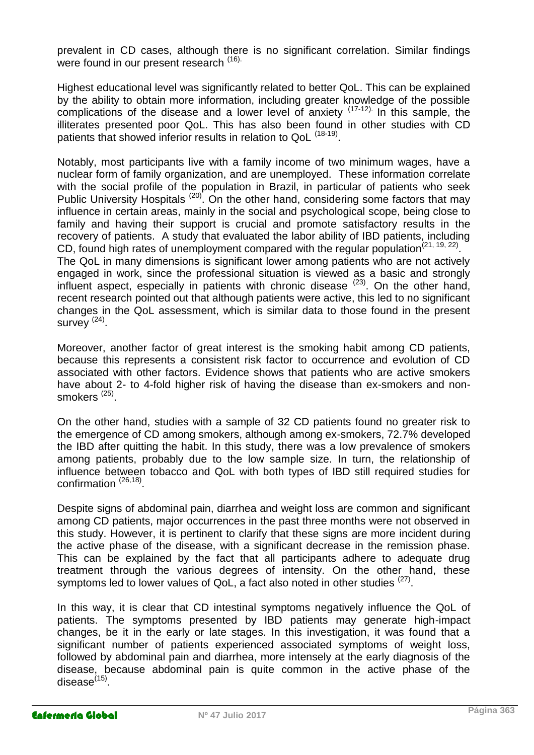prevalent in CD cases, although there is no significant correlation. Similar findings were found in our present research (16).

Highest educational level was significantly related to better QoL. This can be explained by the ability to obtain more information, including greater knowledge of the possible complications of the disease and a lower level of anxiety  $(17-12)$ . In this sample, the illiterates presented poor QoL. This has also been found in other studies with CD patients that showed inferior results in relation to QoL <sup>(18-19)</sup>.

Notably, most participants live with a family income of two minimum wages, have a nuclear form of family organization, and are unemployed. These information correlate with the social profile of the population in Brazil, in particular of patients who seek Public University Hospitals<sup>(20)</sup>. On the other hand, considering some factors that may influence in certain areas, mainly in the social and psychological scope, being close to family and having their support is crucial and promote satisfactory results in the recovery of patients. A study that evaluated the labor ability of IBD patients, including CD, found high rates of unemployment compared with the regular population<sup> $(21, 19, 22)$ </sup>.

The QoL in many dimensions is significant lower among patients who are not actively engaged in work, since the professional situation is viewed as a basic and strongly influent aspect, especially in patients with chronic disease  $(23)$ . On the other hand, recent research pointed out that although patients were active, this led to no significant changes in the QoL assessment, which is similar data to those found in the present survey  $(24)$ .

Moreover, another factor of great interest is the smoking habit among CD patients, because this represents a consistent risk factor to occurrence and evolution of CD associated with other factors. Evidence shows that patients who are active smokers have about 2- to 4-fold higher risk of having the disease than ex-smokers and nonsmokers <sup>(25)</sup>.

On the other hand, studies with a sample of 32 CD patients found no greater risk to the emergence of CD among smokers, although among ex-smokers, 72.7% developed the IBD after quitting the habit. In this study, there was a low prevalence of smokers among patients, probably due to the low sample size. In turn, the relationship of influence between tobacco and QoL with both types of IBD still required studies for confirmation <sup>(26,18)</sup>.

Despite signs of abdominal pain, diarrhea and weight loss are common and significant among CD patients, major occurrences in the past three months were not observed in this study. However, it is pertinent to clarify that these signs are more incident during the active phase of the disease, with a significant decrease in the remission phase. This can be explained by the fact that all participants adhere to adequate drug treatment through the various degrees of intensity. On the other hand, these symptoms led to lower values of QoL, a fact also noted in other studies <sup>(27)</sup>.

In this way, it is clear that CD intestinal symptoms negatively influence the QoL of patients. The symptoms presented by IBD patients may generate high-impact changes, be it in the early or late stages. In this investigation, it was found that a significant number of patients experienced associated symptoms of weight loss, followed by abdominal pain and diarrhea, more intensely at the early diagnosis of the disease, because abdominal pain is quite common in the active phase of the disease<sup>(15)</sup>.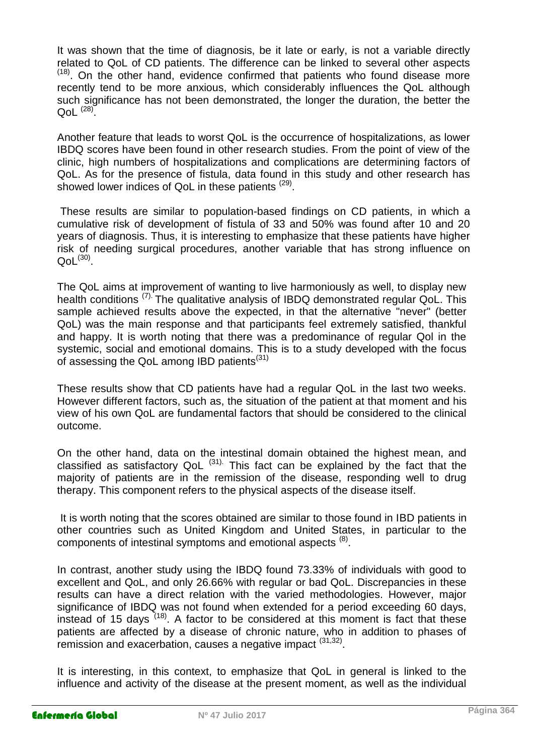It was shown that the time of diagnosis, be it late or early, is not a variable directly related to QoL of CD patients. The difference can be linked to several other aspects  $<sup>(18)</sup>$ . On the other hand, evidence confirmed that patients who found disease more</sup> recently tend to be more anxious, which considerably influences the QoL although such significance has not been demonstrated, the longer the duration, the better the  $\mathsf{Qol}^{(28)}$ .

Another feature that leads to worst QoL is the occurrence of hospitalizations, as lower IBDQ scores have been found in other research studies. From the point of view of the clinic, high numbers of hospitalizations and complications are determining factors of QoL. As for the presence of fistula, data found in this study and other research has showed lower indices of QoL in these patients <sup>(29)</sup>.

These results are similar to population-based findings on CD patients, in which a cumulative risk of development of fistula of 33 and 50% was found after 10 and 20 years of diagnosis. Thus, it is interesting to emphasize that these patients have higher risk of needing surgical procedures, another variable that has strong influence on  $\mathsf{Qol}^{(30)}.$ 

The QoL aims at improvement of wanting to live harmoniously as well, to display new health conditions <sup>(7).</sup> The qualitative analysis of IBDQ demonstrated regular QoL. This sample achieved results above the expected, in that the alternative "never" (better QoL) was the main response and that participants feel extremely satisfied, thankful and happy. It is worth noting that there was a predominance of regular Qol in the systemic, social and emotional domains. This is to a study developed with the focus of assessing the QoL among IBD patients<sup>(31)</sup>

These results show that CD patients have had a regular QoL in the last two weeks. However different factors, such as, the situation of the patient at that moment and his view of his own QoL are fundamental factors that should be considered to the clinical outcome.

On the other hand, data on the intestinal domain obtained the highest mean, and classified as satisfactory QoL  $(31)$ . This fact can be explained by the fact that the majority of patients are in the remission of the disease, responding well to drug therapy. This component refers to the physical aspects of the disease itself.

It is worth noting that the scores obtained are similar to those found in IBD patients in other countries such as United Kingdom and United States, in particular to the components of intestinal symptoms and emotional aspects (8).

In contrast, another study using the IBDQ found 73.33% of individuals with good to excellent and QoL, and only 26.66% with regular or bad QoL. Discrepancies in these results can have a direct relation with the varied methodologies. However, major significance of IBDQ was not found when extended for a period exceeding 60 days, instead of 15 days  $(18)$ . A factor to be considered at this moment is fact that these patients are affected by a disease of chronic nature, who in addition to phases of remission and exacerbation, causes a negative impact <sup>(31,32)</sup>.

It is interesting, in this context, to emphasize that QoL in general is linked to the influence and activity of the disease at the present moment, as well as the individual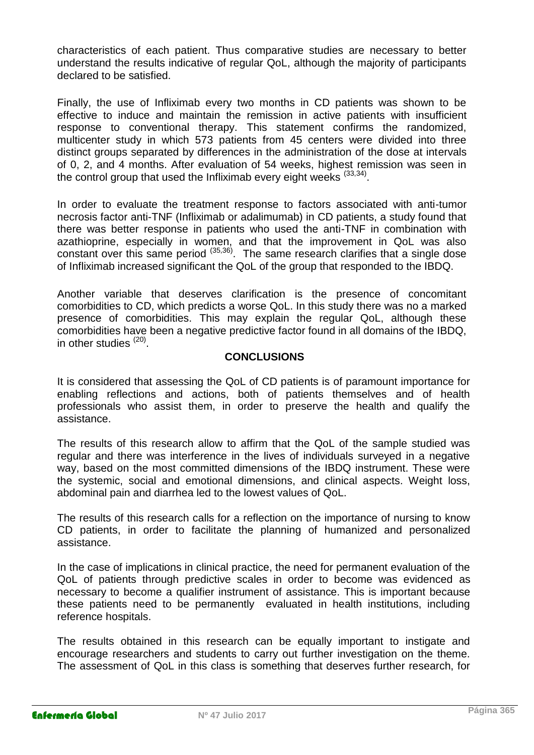characteristics of each patient. Thus comparative studies are necessary to better understand the results indicative of regular QoL, although the majority of participants declared to be satisfied.

Finally, the use of Infliximab every two months in CD patients was shown to be effective to induce and maintain the remission in active patients with insufficient response to conventional therapy. This statement confirms the randomized, multicenter study in which 573 patients from 45 centers were divided into three distinct groups separated by differences in the administration of the dose at intervals of 0, 2, and 4 months. After evaluation of 54 weeks, highest remission was seen in the control group that used the Infliximab every eight weeks (33,34).

In order to evaluate the treatment response to factors associated with anti-tumor necrosis factor anti-TNF (Infliximab or adalimumab) in CD patients, a study found that there was better response in patients who used the anti-TNF in combination with azathioprine, especially in women, and that the improvement in QoL was also constant over this same period  $(35,36)$ . The same research clarifies that a single dose of Infliximab increased significant the QoL of the group that responded to the IBDQ.

Another variable that deserves clarification is the presence of concomitant comorbidities to CD, which predicts a worse QoL. In this study there was no a marked presence of comorbidities. This may explain the regular QoL, although these comorbidities have been a negative predictive factor found in all domains of the IBDQ, in other studies (20).

## **CONCLUSIONS**

It is considered that assessing the QoL of CD patients is of paramount importance for enabling reflections and actions, both of patients themselves and of health professionals who assist them, in order to preserve the health and qualify the assistance.

The results of this research allow to affirm that the QoL of the sample studied was regular and there was interference in the lives of individuals surveyed in a negative way, based on the most committed dimensions of the IBDQ instrument. These were the systemic, social and emotional dimensions, and clinical aspects. Weight loss, abdominal pain and diarrhea led to the lowest values of QoL.

The results of this research calls for a reflection on the importance of nursing to know CD patients, in order to facilitate the planning of humanized and personalized assistance.

In the case of implications in clinical practice, the need for permanent evaluation of the QoL of patients through predictive scales in order to become was evidenced as necessary to become a qualifier instrument of assistance. This is important because these patients need to be permanently evaluated in health institutions, including reference hospitals.

The results obtained in this research can be equally important to instigate and encourage researchers and students to carry out further investigation on the theme. The assessment of QoL in this class is something that deserves further research, for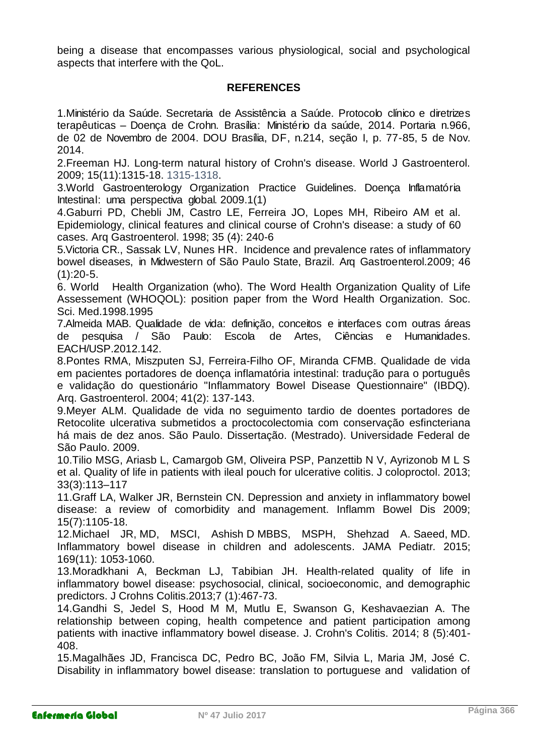being a disease that encompasses various physiological, social and psychological aspects that interfere with the QoL.

## **REFERENCES**

1.Ministério da Saúde. Secretaria de Assistência a Saúde. Protocolo clínico e diretrizes terapêuticas – Doença de Crohn. Brasília: Ministério da saúde, 2014. Portaria n.966, de 02 de Novembro de 2004. DOU Brasília, DF, n.214, seção I, p. 77-85, 5 de Nov. 2014.

2.Freeman HJ. Long-term natural history of Crohn's disease. World J Gastroenterol. 2009; 15(11):1315-18. 1315-1318.

3.World Gastroenterology Organization Practice Guidelines. Doença Inflamatória Intestinal: uma perspectiva global. 2009.1(1)

4.Gaburri PD, Chebli JM, Castro LE, Ferreira JO, Lopes MH, Ribeiro AM et al. Epidemiology, clinical features and clinical course of Crohn's disease: a study of 60 cases. Arq Gastroenterol. 1998; 35 (4): 240-6

5.Victoria CR., Sassak LV, Nunes HR. Incidence and prevalence rates of inflammatory bowel diseases, in Midwestern of São Paulo State, Brazil. Arq Gastroenterol.2009; 46  $(1):20-5.$ 

6. World Health Organization (who). The Word Health Organization Quality of Life Assessement (WHOQOL): position paper from the Word Health Organization. Soc. Sci. Med.1998.1995

7.Almeida MAB. Qualidade de vida: definição, conceitos e interfaces com outras áreas de pesquisa / São Paulo: Escola de Artes, Ciências e Humanidades. EACH/USP.2012.142.

8.Pontes RMA, Miszputen SJ, Ferreira-Filho OF, Miranda CFMB. Qualidade de vida em pacientes portadores de doença inflamatória intestinal: tradução para o português e validação do questionário "Inflammatory Bowel Disease Questionnaire" (IBDQ). Arq. Gastroenterol. 2004; 41(2): 137-143.

9.Meyer ALM. Qualidade de vida no seguimento tardio de doentes portadores de Retocolite ulcerativa submetidos a proctocolectomia com conservação esfincteriana há mais de dez anos. São Paulo. Dissertação. (Mestrado). Universidade Federal de São Paulo. 2009.

10.Tilio MSG, Ariasb L, Camargob GM, Oliveira PSP, Panzettib N V, Ayrizonob M L S et al. Quality of life in patients with ileal pouch for ulcerative colitis. J coloproctol. 2013; 33(3):113–117

11.Graff LA, Walker JR, Bernstein CN. Depression and anxiety in inflammatory bowel disease: a review of comorbidity and management. Inflamm Bowel Dis 2009; 15(7):1105-18.

12.Michael JR, MD, MSCI, Ashish D MBBS, MSPH, Shehzad A. Saeed, MD. Inflammatory bowel disease in children and adolescents. JAMA Pediatr*.* 2015; 169(11): 1053-1060.

13.Moradkhani A, Beckman LJ, Tabibian JH. Health-related quality of life in inflammatory bowel disease: psychosocial, clinical, socioeconomic, and demographic predictors. J Crohns Colitis.2013;7 (1):467-73.

14.Gandhi S, Jedel S, Hood M M, Mutlu E, Swanson G, Keshavaezian A. The relationship between coping, health competence and patient participation among patients with inactive inflammatory bowel disease. J. Crohn's Colitis. 2014; 8 (5):401- 408.

15.Magalhães JD, Francisca DC, Pedro BC, João FM, Silvia L, Maria JM, José C. Disability in inflammatory bowel disease: translation to portuguese and validation of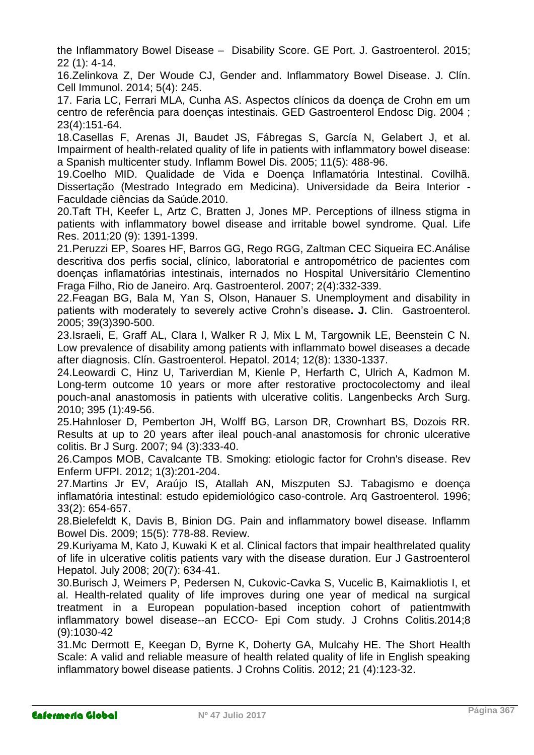the Inflammatory Bowel Disease – Disability Score. GE Port. J. Gastroenterol. 2015; 22 (1): 4-14.

16.Zelinkova Z, Der Woude CJ, Gender and. Inflammatory Bowel Disease. J. Clín. Cell Immunol. 2014; 5(4): 245.

17. Faria LC, Ferrari MLA, Cunha AS. Aspectos clínicos da doença de Crohn em um centro de referência para doenças intestinais. GED Gastroenterol Endosc Dig. 2004 ; 23(4):151-64.

18.Casellas F, Arenas JI, Baudet JS, Fábregas S, García N, Gelabert J, et al. Impairment of health-related quality of life in patients with inflammatory bowel disease: a Spanish multicenter study. Inflamm Bowel Dis. 2005; 11(5): 488-96.

19.Coelho MID. Qualidade de Vida e Doença Inflamatória Intestinal. Covilhã. Dissertação (Mestrado Integrado em Medicina). Universidade da Beira Interior - Faculdade ciências da Saúde.2010.

20.Taft TH, Keefer L, Artz C, Bratten J, Jones MP. Perceptions of illness stigma in patients with inflammatory bowel disease and irritable bowel syndrome. Qual. Life Res. 2011;20 (9): 1391-1399.

21.Peruzzi EP, Soares HF, Barros GG, Rego RGG, Zaltman CEC Siqueira EC.Análise descritiva dos perfis social, clínico, laboratorial e antropométrico de pacientes com doenças inflamatórias intestinais, internados no Hospital Universitário Clementino Fraga Filho, Rio de Janeiro. Arq. Gastroenterol. 2007; 2(4):332-339.

22.Feagan BG, Bala M, Yan S, Olson, Hanauer S. Unemployment and disability in patients with moderately to severely active Crohn's disease**. J.** Clin. Gastroenterol. 2005; 39(3)390-500.

23.Israeli, E, Graff AL, Clara I, Walker R J, Mix L M, Targownik LE, Beenstein C N. Low prevalence of disability among patients with inflammato bowel diseases a decade after diagnosis. Clín. Gastroenterol. Hepatol. 2014; 12(8): 1330-1337.

24.Leowardi C, Hinz U, Tariverdian M, Kienle P, Herfarth C, Ulrich A, Kadmon M. Long-term outcome 10 years or more after restorative proctocolectomy and ileal pouch-anal anastomosis in patients with ulcerative colitis. Langenbecks Arch Surg. 2010; 395 (1):49-56.

25.Hahnloser D, Pemberton JH, Wolff BG, Larson DR, Crownhart BS, Dozois RR. Results at up to 20 years after ileal pouch-anal anastomosis for chronic ulcerative colitis. Br J Surg. 2007; 94 (3):333-40.

26.Campos MOB, Cavalcante TB. Smoking: etiologic factor for Crohn's disease. Rev Enferm UFPI. 2012; 1(3):201-204.

27.Martins Jr EV, Araújo IS, Atallah AN, Miszputen SJ. Tabagismo e doença inflamatória intestinal: estudo epidemiológico caso-controle. Arq Gastroenterol. 1996; 33(2): 654-657.

28.Bielefeldt K, Davis B, Binion DG. Pain and inflammatory bowel disease. Inflamm Bowel Dis. 2009; 15(5): 778-88. Review.

29.Kuriyama M, Kato J, Kuwaki K et al. Clinical factors that impair healthrelated quality of life in ulcerative colitis patients vary with the disease duration. Eur J Gastroenterol Hepatol. July 2008; 20(7): 634-41.

30.Burisch J, Weimers P, Pedersen N, Cukovic-Cavka S, Vucelic B, Kaimakliotis I, et al. Health-related quality of life improves during one year of medical na surgical treatment in a European population-based inception cohort of patientmwith inflammatory bowel disease--an ECCO- Epi Com study. J Crohns Colitis.2014;8 (9):1030-42

31.Mc Dermott E, Keegan D, Byrne K, Doherty GA, Mulcahy HE. The Short Health Scale: A valid and reliable measure of health related quality of life in English speaking inflammatory bowel disease patients. J Crohns Colitis. 2012; 21 (4):123-32.